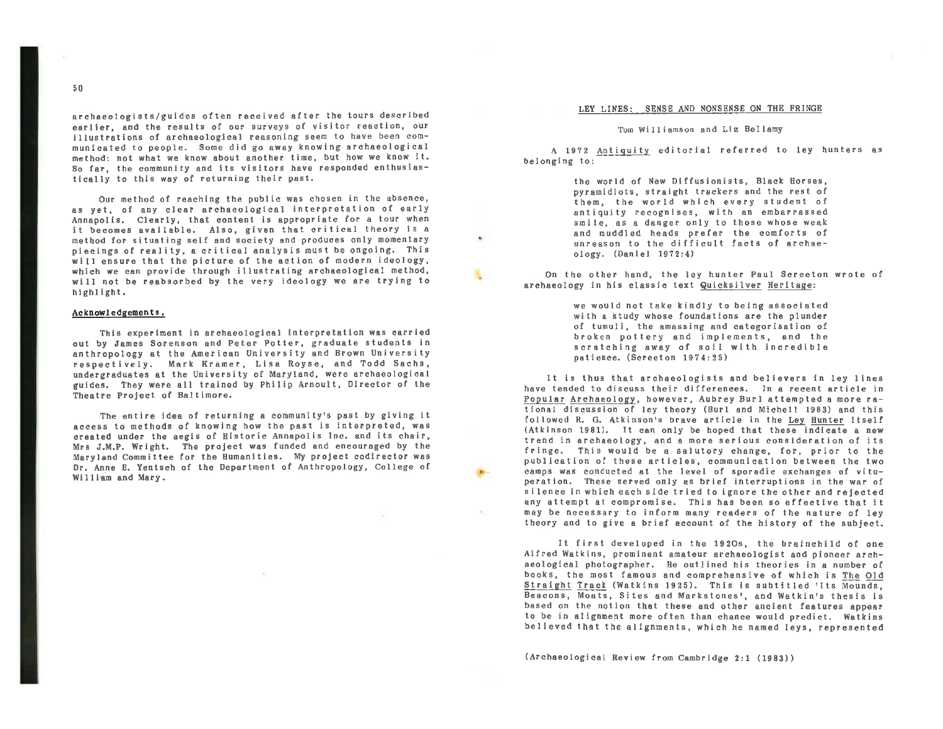archaeologists/guides often received after the tours described **earlier,** and the results of our surveys of visitor reaction, our illustrations of archaeological reasoning seem to have been communicated to people. Some did go away knowing archaeological method: not whet we know about another time, but how *we* know it. So far, the community and its visitors have responded enthusiastically to this way of returning their past.

Our method of reaching the public was chosen in the absence, as yet, of any clear archaeological interpretation of early Annapolis. Clearly, that content is appropriate for a tour when it becomes available. Also, given that critical theory is a method for situating self and society and produces only momentary pi ecings of reality, a er it ical analysis must be ongoing. This will ensure that the picture of the action of modern ideology, which we can provide through illustrating archaeological method, will not be reabsorbed by the very ideology we are trying to highlight.

### Acknowledgements.

This experiment in archaeological interpretation was carried out by James Sorenson and Peter Potter, graduate students in anthropology at the American University and Brown University respectively. Mark Kramer, Lisa Royse, and Todd Sac\_hs, undergraduates at the University of Maryland, were archaeological guides. They were all trained by Philip Arnoult, Director of the Theatre Project of Baltimore.

The entire idea of returning a community's past by giving it access to methods of knowing how the past is interpreted, was created under the aegis of Historic Annapolis Inc. and its chair, Mrs J.M.P. Wright. The project was funded and encouraged by the Maryland Committee for the Humanities. My project codirector was Dr. Anne E. Yentsch of the Department of Anthropology, College of William and Mary.

#### LEY LINES: SENSE AND NONSENSE ON THE FRINGE

Tom Williamson and Liz Bellamy

A 1972 Antiquity editorial referred to ley hunters as belonging to:

> the world of New Diffusionists, Black Horses, pyramidiots, straight trackers and the rest of them, the world which every student of antiquity recognises, with an embarrassed smile, as a danger only to those whose weak and muddled heads prefer the comforts of unreason to the difficult facts of archaeology. (Daniel 1972:4)

On the other hand, the ley hunter Paul Screeton wrote of archaeology in his classic text Quicksilver Heritage:

> we would not take kindly to being associated with a study whose foundations are the plunder of tumuli, the amassing and categorisation of broken pottery and implements, and the scratching away of soil with incredible patience. (Screeton 1974:25)

It is thus that archaeologists and believers in ley lines have tended to discuss their differences. In a recent article in Popular Archaeology, however, Aubrey Burl attempted a more rational discussion of ley theory (Burl and Michell 1983) and this followed R. G. Atkinson's brave article in the Ley Hunter itself (Atkinson 1981). It can only be hoped that these indicate a new trend in archaeology, and a more serious consideration of its fringe. This would be a salutory change, for, prior to the publication of these articles, communication between the two camps was conducted at the level of sporadic exchanges of vituperation. These served only as brief interruptions in the war of silence in which each side tried to ignore the other and rejected any attempt at compromise. This has been so effective that it may be necessary to inform many readers of the nature of ley theory and to give a brief account of the history of the subject.

It first developed in the 1920s, the brainchild of one Alfred Watkins, prominent amateur archaeologist and pioneer archaeological photographer. He outlined his theories in a number of books, the most famous and comprehensive of which is The Old Straight Track (Watkins 1925). This is subtitled 'Its Mounds, Beacons, Moats, Sites and Merkstones', and Watkin•s thesis is based on the notion that these and other ancient features appear to be in alignment more often than chance would predict. Watkins believed that the alignments, which he named leys, represented

(Archaeological Review from Cambridge 2:1 (1983))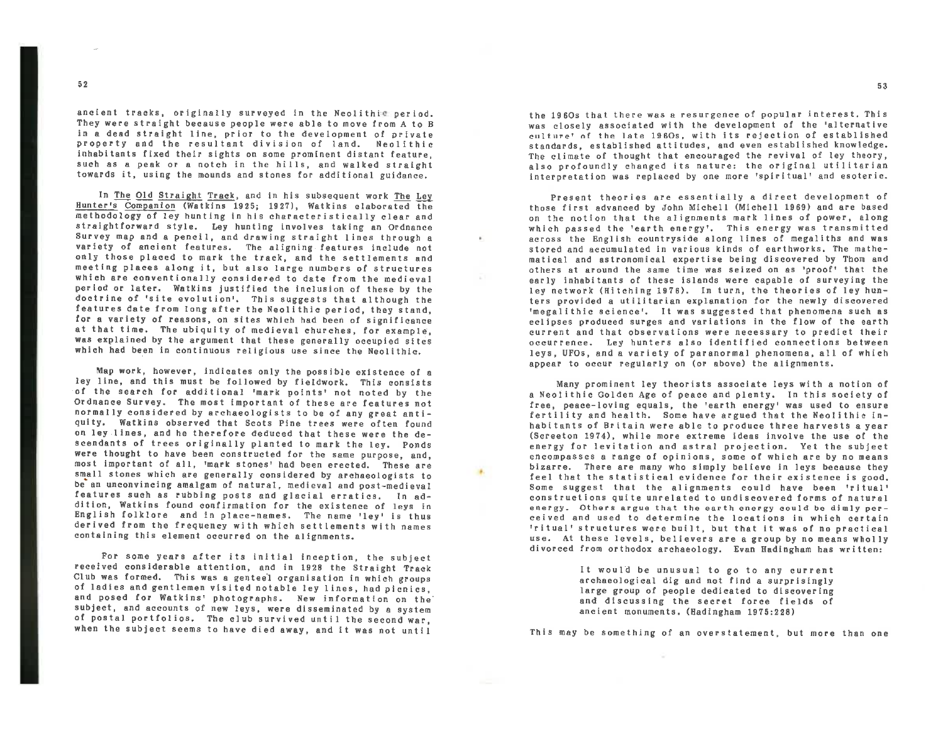ancient tracks, originally surveyed in the Neolithic period.<br>They were straight because people were able to move from A to B in a dead straight line, prior to the development of private property and the resultant division of land. Neolithic inhabitants fixed their sights on some prominent distant feature, such as <sup>a</sup>peak or a notch In the hills, and walked straight towards it, using the mounds and stones for additional guidance.

In The Old Straight Track, and in his subsequent work The Lev Hunter's Companion (Watkins 1925; 1927), Watkins elaborated the methodology of ley hunting in his characteristically clear and<br>straightforward style. Ley hunting involves taking an Ordnance<br>Survey map and a pencil, and drawing straight lines through a variety of ancient features. The aligning features include not only those placed to mark the track, and the settlements and meeting places along it, but also large numbers of structures which are conventionally considered to date from the medieval period or later. Watkins justified the inclusion of these by the doctrine of 'site evolution'. This suggests that although the features date from long after the Neolithic period, they stand, for a variety of reasons, on si at that time. The ubiquity of medieval churches, for example, was explained by the argument that these generally occupied sites which had been in continuous religious use since the Neolithic.

Map work, however, indicates only the possible existence of <sup>a</sup> ley line, and this must be followed by fieldwork. This consists<br>of the search for additional 'mark points' not noted by the Ordnance Survey. The most important of these are features not normally considered by archaeologists to be of any great anti quity. Watkins observed that Scots Pine trees were often found on ley .lines, and he therefore deduced that these were the descendants of trees originally planted to mark the ley. Ponds **were** thought to have been constructed for the same purpose, and, most important of all, 'mark stones' had been erected. These are<br>small stones which are generally considered by archaeologists to be an unconvincing amalgam of natural, medieval and post-medieval<br>features such as rubbing posts and glacial erratics. In ad-<br>dition, Watkins found confirmation for the existence of leys in<br>English folklore and in place-na derived from the frequency with which settlements with names containing this element occurred on the alignments.

For some years after its initial inception, the subject received considerable attention, and in 1928 the Straight Track Club was formed. This was a genteel organisation in which groups<br>of ladies and gentlemen visited notable ley lines, had picnics,<br>and posed for Watkins' photographs. New information on the subject, and accounts of new leys, were disseminated by a system of postal portfolios. The club survived until the second war, when the subject seems to have died away, and it was not until the 1960s that there was <sup>a</sup>resurgence of popular interest. This was closely associated with the development of the 'alternative culture' of the late 196Os, with its rejection of established<br>standards, established attitudes, and even established knowledge. The climate of thought that encouraged the revival of ley theory,<br>also profoundly changed its nature: the original utilitarian interpretation was replaced by one more 'spiritual' and esoteric.

Present theories are essentially a direct development of those first advanced by John Michell (Michell 1969) and are based on the notion that the al lgnments mark lines of power, along which passed the 'earth energy'. This energy was transmitted across the English countryside along lines of megaliths and was stored and accumulated in various kinds of earthworks. The mathematical and astronomical expertise being discovered by Thom and<br>others at around the same time was seized on as 'proof' that the<br>early inhabitants of these islands were capable of surveying the<br>ley network (Hitching 1976). ters provided a utilitarian explanation for the newly discovered •megalithic science•. It was suggested that phenomena such as eclipses produced surges and variations in the flow of the earth current and that observations were necessary to predict their occurrence. Ley hunters also identified connections between leys, UFOs, and a variety of paranormal phenomena, all of which appear to occur regularly on (or above) the alignments.

Many prominent ley theorists associate leys with a notion of free, peace-loving equals, the 'earth energy' was used to ensure<br>fertility and health. Some have argued that the Neolithic inhabitants of Britain were able to produce three harvests <sup>a</sup>year (Screeton 1974), while more extreme ideas involve the use of the energy for levitation and astral projection. Yet the subject<br>encompasses a range of opinions, some of which are by no means bizarre. There are many who simply believe in leys because they feel that the statistical evidence for their existence is good. Some suggest that the alignments could have been 'ritual' constructions quite unrelated to undiscovered forms of natural energy . Others argue that the earth energy could be dimly per- ceived and used to determine the locations in which certain 'ritual' structures were built, but that It was of no practical divorced from orthodox archaeology. Evan Hadingham has written:

> It would be unusual to go to any current archaeological dig and not find <sup>a</sup>surprisingly large group of people dedicated to discovering and discussing the secret force fields of ancient monuments. (Hadingham 1975:228)

This may be something of an overstatement, but more than one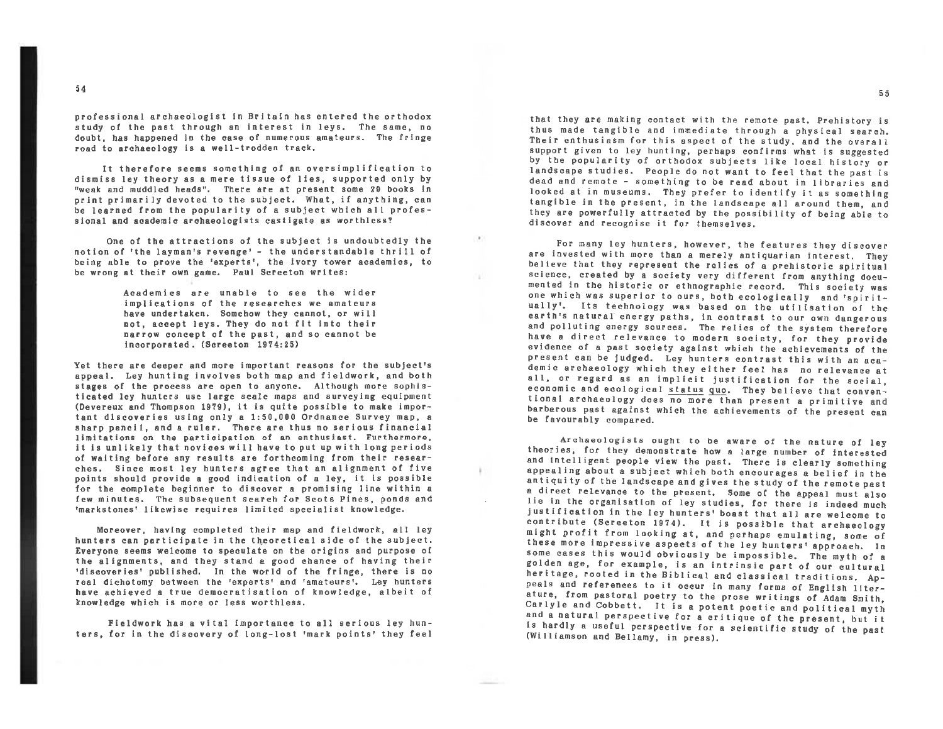professional archaeologist in Britain has entered the orthodox study of the past through an interest in leys. The same, no doubt, has happened in the case or numerous amateurs. The fringe road to archaeology is a well-trodden track.

It therefore seems something of an oversimplification to dismiss ley theory as a mere tissue of lies, supported only by "weak and muddled heads". There are at present some 20 books in be learned from the popularity of a subject which all profes-<br>sional and academic archaeologists castigate as worthless?

One of the attractions of the subject Is undoubtedly the notion of 'the layman's revenge' - the understandable thrill of being able to prove the 'experts', the ivory tower academics, to be wrong at their own game. Paul Screeton writes:  $\mathbb{R}^3$ 

w

Academics are unable to see the wider implications or the researches we amateurs have undertaken. Somehow they cannot, or will not, accept leys. They do not fit Into their narrow concept of the past, and so cannot be incorporated. (Screeton 1974:25)

Yet there are deeper and more important reasons for the subject's appeal. Ley hunting involves both map and fieldwork, and both stages of the process are open to anyone. Although more sophisticated ley hunters use large scale maps and surveying equipment (Devereux and Thompson 1979), it is quite possible to make important discoveries using only a 1 limitations on the participation of an enthusiast. Furthermore, it is unlikely that novices will have to put up with long periods<br>of waiting before any results are forthcoming from their resear-<br>ches. Since most ley hunters agree that an alignment of five<br>points should provide a good i for the complete beginner to discover a promising line within a<br>few minutes. The subsequent search for Scots Pines, ponds and<br>'markstones' likewise requires limited specialist knowledge.

Moreover, having completed their map and fieldwork, all ley<br>hunters can participate in the theoretical side of the subject.<br>Everyone seems welcome to speculate on the origins and purpose of<br>the alignments, and they stand a

Fieldwork has a vital importance to all serious ley hunters, for in the discovery of long-lost 'mark points' they feel that they are making contact with the remote past. Prehistory is thus made tangible and immediate through <sup>a</sup>physical search. Their enthusiasm for this aspect of the study, and the overall by the popularity of orthodox subjects like local history or<br>landscape studies. People do not want to feel that the past is dead and remote - something to be read about in libraries and<br>looked at in museums. They prefer to identify it as something tangible in the present, in the landscape all around them, and they are powerfully attracted by the possibility of being able to<br>discover and recognise it for themselves.

For many ley hunters, however, the features they discover are invested with more than a merely antiquarian interest. They believe that they represent the relics of a prehistoric spiritual<br>science, created by a society very different from anything docu-<br>mented in the historic or ethnographic record. This society was<br>one which was superior to o ually'. Its technology was based on the utilisation of the<br>earth's natural energy paths, in contrast to our own dangerous and polluting energy sources. The relics of the system therefore<br>have a direct relevance to modern society, for they provide<br>evidence of a past society against which the achievements of the present can be judged. Ley hunters contrast this with an **aca**all, or regard as an implicit justification for the social,<br>economic and ecological status quo. They believe that conventional archaeology does no more than present a primitive and<br>barbarous past against which the achievements of the present can<br>be favourably compared.

Archaeologists ought to be aware of the nature of ley<br>theories, for they demonstrate how a large number of interested<br>and intelligent people view the past. There is clearly something<br>appealing about a subject which both en lie in the organisation of ley studies, for there is indeed much justification in the Iey hunters' boast that all are welcome to contribute (Screeton 1974). It is possible that archaeology might profit from looking at, and perhaps emulating, some of<br>these more impressive aspects of the ley hunters• approach. In some cases this would obviously be impossible. The myth of a heritage, rooted in the Biblical and classical traditions. Appeals and references to it occur in many forms of English literature, from pastoral poetry to the prose writings of Adam Smith, Carlyle and Cobbett. It is a pote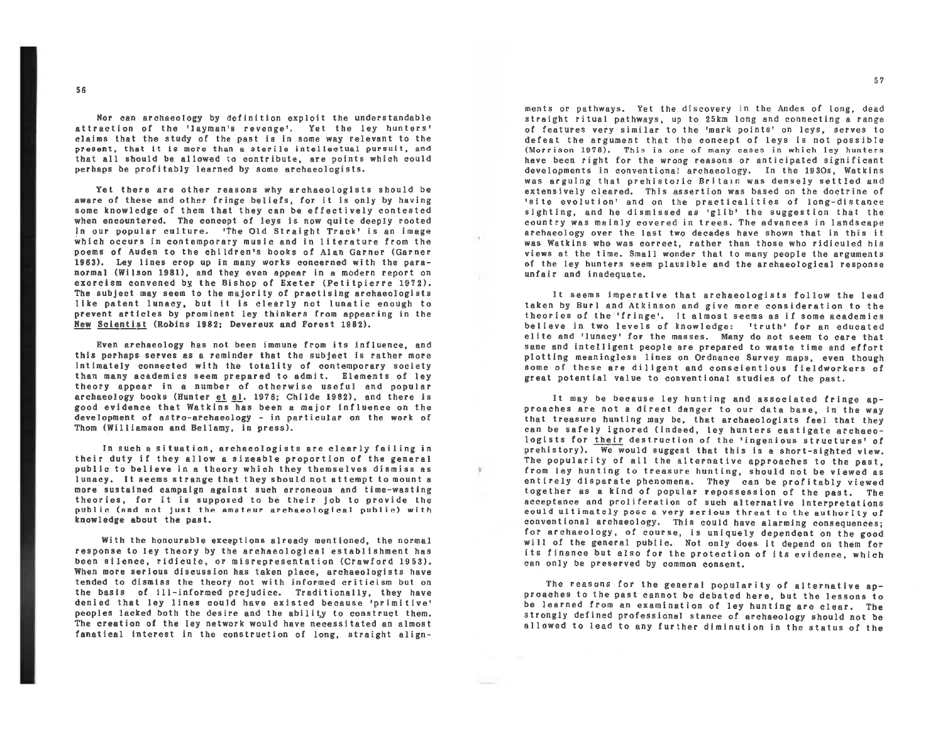Nor can archaeology by definition exploit the understandable<br>attraction of the 'layman's revenge'. Yet the ley hunters' claims that the study of the past is in some way relevant to the<br>present, that it is more than a sterile intellectual pursuit, and that all should be allowed to contribute, are points which could perhaps be profitably learned by some archaeologists.

Yet there ere other reasons why archaeologists should be **aware** of these and other fringe beliefs, for it Is only by having some knowledge of them that they can be effectively contested when encountered. The concept of leys is now quite deeply rooted In our popular culture. 'The Old Streight Track' is an image which occurs in contemporary music and in literature from the poems of Auden to the children's books of Alen Garner (Gerner 1963), Ley lines crop up in many works concerned with the para-<br>normal (Wilson 1981), and they even appear in a modern report on<br>exorcism convened by the Bishop of Exeter (Petitpierre 1972), The subject may seem to the majority of practising archaeologists like patent lunacy, but It is clearly not lunatic enough to prevent articles by prominent ley thinkers from appearing in the New Scientist (Robins 1982; Devereux and Forest 1982),

Even archaeology has not been immune from its influence, and this perhaps serves as a reminder that the subject is rather more lnt imately connected with the totality of contemporary society than many academics seem prepared to admit, Elements of ley theory **appear** in a number of otherwise useful and popular archaeology books (Hunter et al. 1976; Childe 1982), and there is good evidence that Watkins has been a major Influence on the development of astro-erchaeology - in particular on the work of Thom (Williamson end Bellemy, In press).

In such a situation, archaeologists ere clearly failing in their duty if they allow a sizeable proportion of the genera<sup>l</sup> public to believe in a theory which they themselves dismiss as lunacy. It seems strange that they should not attempt to mount <sup>a</sup> more sustained campaign against such erroneous and time-wasting<br>theories, for it is supposed to be their job to provide the public (and not Just the amateur archaeological public) with knowledge about the past.

With the honourable exceptions already mentioned, the normal response to ley theory by the archaeological establishment has been silence, ridicule, or misrepresentation (Crawford 1953). When more serious discussion has taken place, archaeologists have<br>tended to dismiss the theory not with informed criticism but on the basis of ill-informed prejudice. Traditionally, they have denied that ley lines could have existed because 'primitive' peoples lacked both the desire and the ability to construct them. The creation of the Iey network would have necessitated en almost **fanatical** interest in the construction of long, straight alignments or pathways. Yet the discovery in the Andes of long, dead<br>straight ritual pathways, up to 25km long and connecting a range of features very similar to the 'mark points' on leys, serves to<br>defeat the argument that the concept of leys is not possible (Morrison 1978). This is one of many cases in which ley hunters have been right for the wrong reasons or anticipated significant developments in conventional archaeology. In the 1930s, Watkins was arguing that prehistoric Britain was densely settled and extensively cleared. This assertion was based on the doctrine of •site evolution' and on the practicalities of long-distance sighting, and he dismissed as 'glib' the suggestion that the country was mainly covered in trees. The advances in landscape archaeology over the last *two* decades **have** shown that in this it was Watkins who was correct, rather then those who ridiculed his views et the time. Small wonder that to many people the arguments of the Iey hunters seem plausible end the archaeological response **unfair** end inadequate.

It seems imperative that archaeologists follow the lead taken by Burl and Atkinson end give more consideration to the theories of the ·•trlnge•. It almost seems as if some academics believe in two levels of knowledge: 'truth' for en educated elite end 'lunacy• *tor* the messes. Many do not seem to care that sane end intelligent people ere prepared to waste time and effort <sup>p</sup>lotting meaningless lines on Ordnance Survey maps, even though some of these are diligent end conscientious fieldworkers of greet potential value to conventional studies of the past.

It may be because ley hunting end associated fringe ap proaches are not a direct danger to our date base, in the way that treasure hunting may be, that archaeologists feel that they can be safely ignored (indeed, ley hunters castigate archaeo logists for their destruction of the 'ingenious structures' of prehistory). We would suggest that this is a short-sighted view. The popularity of all the alternative approaches to the past, from ley hunting to treasure hunting, should not be viewed as entirely disparate phenomena. They can be profitably viewed together as a kind of popular repossession of the pest. The acceptance end proliferation of such alternative interpretations could ultimately pose a very serious threat to the authority of for archaeology, of course, is uniquely dependent on the good will of the general public. Not only does it depend on them for its finance but also for the protection of its evidence, which can only be preserved by common consent.

The reasons for the general popularity of alternative ap proaches to the pest cannot be debated here, but the lessons to be learned from an examination of ley hunting ere clear. The strongly defined professional stance of archaeology should not he allowed to lead to any further diminution in the status of the